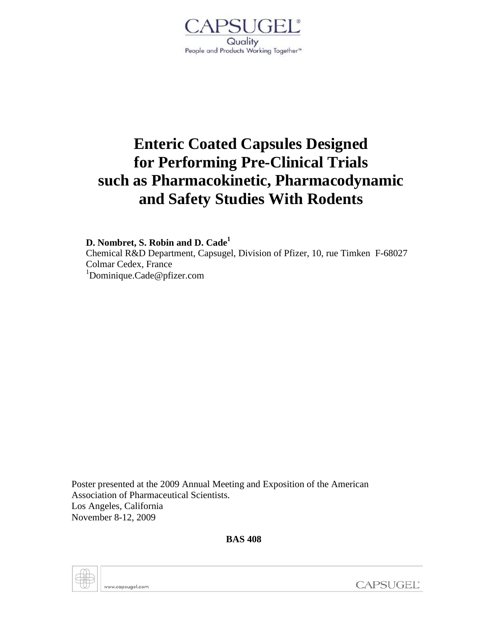

# **Enteric Coated Capsules Designed for Performing Pre-Clinical Trials such as Pharmacokinetic, Pharmacodynamic and Safety Studies With Rodents**

**D. Nombret, S. Robin and D. Cade1** 

Chemical R&D Department, Capsugel, Division of Pfizer, 10, rue Timken F-68027 Colmar Cedex, France 1 Dominique.Cade@pfizer.com

Poster presented at the 2009 Annual Meeting and Exposition of the American Association of Pharmaceutical Scientists. Los Angeles, California November 8-12, 2009

**BAS 408**



www.capsugel.com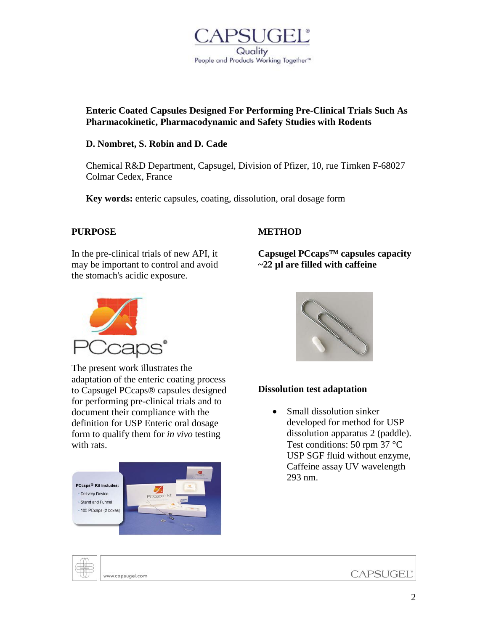

## **Enteric Coated Capsules Designed For Performing Pre-Clinical Trials Such As Pharmacokinetic, Pharmacodynamic and Safety Studies with Rodents**

## **D. Nombret, S. Robin and D. Cade**

Chemical R&D Department, Capsugel, Division of Pfizer, 10, rue Timken F-68027 Colmar Cedex, France

**Key words:** enteric capsules, coating, dissolution, oral dosage form

## **PURPOSE**

## **METHOD**

In the pre-clinical trials of new API, it may be important to control and avoid the stomach's acidic exposure.



The present work illustrates the adaptation of the enteric coating process to Capsugel PCcaps® capsules designed for performing pre-clinical trials and to document their compliance with the definition for USP Enteric oral dosage form to qualify them for *in vivo* testing with rats.





**Capsugel PCcaps™ capsules capacity** 

**~22 µl are filled with caffeine**

# **Dissolution test adaptation**

• Small dissolution sinker developed for method for USP dissolution apparatus 2 (paddle). Test conditions: 50 rpm 37 °C USP SGF fluid without enzyme, Caffeine assay UV wavelength 293 nm.

www.capsugel.com

**CAPSUGEL®**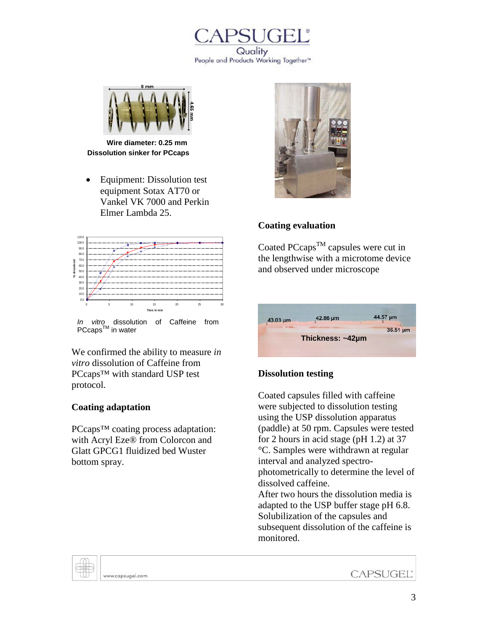



**Dissolution sinker for PCcaps Wire diameter: 0.25 mm**

• Equipment: Dissolution test equipment Sotax AT70 or Vankel VK 7000 and Perkin Elmer Lambda 25.



*In vitro* dissolution of Caffeine from PCcaps<sup>™</sup> in water

We confirmed the ability to measure *in vitro* dissolution of Caffeine from PCcaps<sup>™</sup> with standard USP test protocol.

## **Coating adaptation**

PCcaps<sup>™</sup> coating process adaptation: with Acryl Eze® from Colorcon and Glatt GPCG1 fluidized bed Wuster bottom spray.



# **Coating evaluation**

Coated PCcaps<sup>TM</sup> capsules were cut in the lengthwise with a microtome device and observed under microscope



# **Dissolution testing**

Coated capsules filled with caffeine were subjected to dissolution testing using the USP dissolution apparatus (paddle) at 50 rpm. Capsules were tested for 2 hours in acid stage (pH 1.2) at 37 °C. Samples were withdrawn at regular interval and analyzed spectrophotometrically to determine the level of dissolved caffeine. After two hours the dissolution media is

adapted to the USP buffer stage pH 6.8. Solubilization of the capsules and subsequent dissolution of the caffeine is monitored.

www.capsugel.com

**CAPSUGEL®**